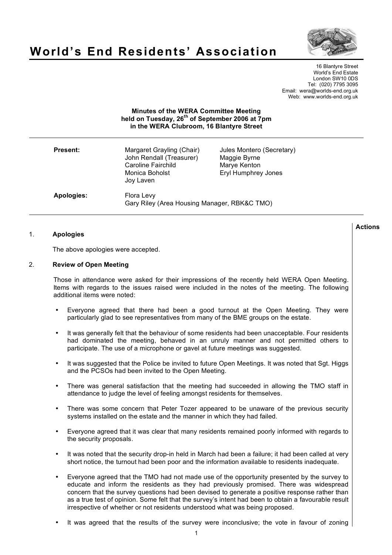

**Actions**

# **World's End Residents' Association**

16 Blantyre Street World's End Estate London SW10 0DS Tel: (020) 7795 3095 Email: wera@worlds-end.org.uk Web: www.worlds-end.org.uk

## **Minutes of the WERA Committee Meeting held on Tuesday, 26th of September 2006 at 7pm in the WERA Clubroom, 16 Blantyre Street**

| <b>Present:</b> | Margaret Grayling (Chair)<br>John Rendall (Treasurer)<br><b>Caroline Fairchild</b><br>Monica Boholst<br>Joy Laven | Jules Montero (Secretary)<br>Maggie Byrne<br>Marye Kenton<br>Eryl Humphrey Jones |
|-----------------|-------------------------------------------------------------------------------------------------------------------|----------------------------------------------------------------------------------|
| Apologies:      | Flora Levy<br>Gary Riley (Area Housing Manager, RBK&C TMO)                                                        |                                                                                  |

### 1. **Apologies**

The above apologies were accepted.

#### 2. **Review of Open Meeting**

Those in attendance were asked for their impressions of the recently held WERA Open Meeting. Items with regards to the issues raised were included in the notes of the meeting. The following additional items were noted:

- Everyone agreed that there had been a good turnout at the Open Meeting. They were particularly glad to see representatives from many of the BME groups on the estate.
- It was generally felt that the behaviour of some residents had been unacceptable. Four residents had dominated the meeting, behaved in an unruly manner and not permitted others to participate. The use of a microphone or gavel at future meetings was suggested.
- It was suggested that the Police be invited to future Open Meetings. It was noted that Sgt. Higgs and the PCSOs had been invited to the Open Meeting.
- There was general satisfaction that the meeting had succeeded in allowing the TMO staff in attendance to judge the level of feeling amongst residents for themselves.
- There was some concern that Peter Tozer appeared to be unaware of the previous security systems installed on the estate and the manner in which they had failed.
- Everyone agreed that it was clear that many residents remained poorly informed with regards to the security proposals.
- It was noted that the security drop-in held in March had been a failure; it had been called at very short notice, the turnout had been poor and the information available to residents inadequate.
- Everyone agreed that the TMO had not made use of the opportunity presented by the survey to educate and inform the residents as they had previously promised. There was widespread concern that the survey questions had been devised to generate a positive response rather than as a true test of opinion. Some felt that the survey's intent had been to obtain a favourable result irrespective of whether or not residents understood what was being proposed.
- It was agreed that the results of the survey were inconclusive; the vote in favour of zoning